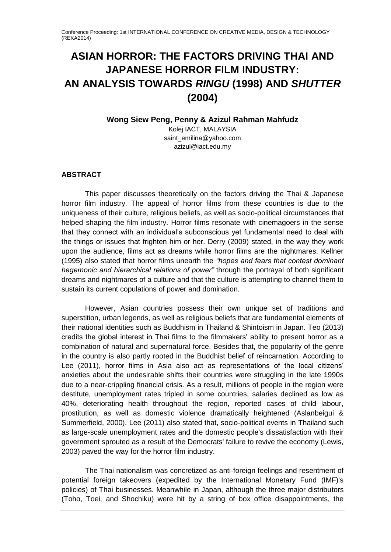# **ASIAN HORROR: THE FACTORS DRIVING THAI AND JAPANESE HORROR FILM INDUSTRY: AN ANALYSIS TOWARDS** *RINGU* **(1998) AND** *SHUTTER* **(2004)**

**Wong Siew Peng, Penny & Azizul Rahman Mahfudz**

Kolej IACT, MALAYSIA saint\_emilina@yahoo.com azizul@iact.edu.my

# **ABSTRACT**

This paper discusses theoretically on the factors driving the Thai & Japanese horror film industry. The appeal of horror films from these countries is due to the uniqueness of their culture, religious beliefs, as well as socio-political circumstances that helped shaping the film industry. Horror films resonate with cinemagoers in the sense that they connect with an individual"s subconscious yet fundamental need to deal with the things or issues that frighten him or her. Derry (2009) stated, in the way they work upon the audience, films act as dreams while horror films are the nightmares. Kellner (1995) also stated that horror films unearth the *"hopes and fears that contest dominant hegemonic and hierarchical relations of power"* through the portrayal of both significant dreams and nightmares of a culture and that the culture is attempting to channel them to sustain its current copulations of power and domination.

However, Asian countries possess their own unique set of traditions and superstition, urban legends, as well as religious beliefs that are fundamental elements of their national identities such as Buddhism in Thailand & Shintoism in Japan. Teo (2013) credits the global interest in Thai films to the filmmakers' ability to present horror as a combination of natural and supernatural force. Besides that, the popularity of the genre in the country is also partly rooted in the Buddhist belief of reincarnation. According to Lee (2011), horror films in Asia also act as representations of the local citizens" anxieties about the undesirable shifts their countries were struggling in the late 1990s due to a near-crippling financial crisis. As a result, millions of people in the region were destitute, unemployment rates tripled in some countries, salaries declined as low as 40%, deteriorating health throughout the region, reported cases of child labour, prostitution, as well as domestic violence dramatically heightened (Aslanbeigui & Summerfield, 2000). Lee (2011) also stated that, socio-political events in Thailand such as large-scale unemployment rates and the domestic people's dissatisfaction with their government sprouted as a result of the Democrats' failure to revive the economy (Lewis, 2003) paved the way for the horror film industry.

The Thai nationalism was concretized as anti-foreign feelings and resentment of potential foreign takeovers (expedited by the International Monetary Fund (IMF)'s policies) of Thai businesses. Meanwhile in Japan, although the three major distributors (Toho, Toei, and Shochiku) were hit by a string of box office disappointments, the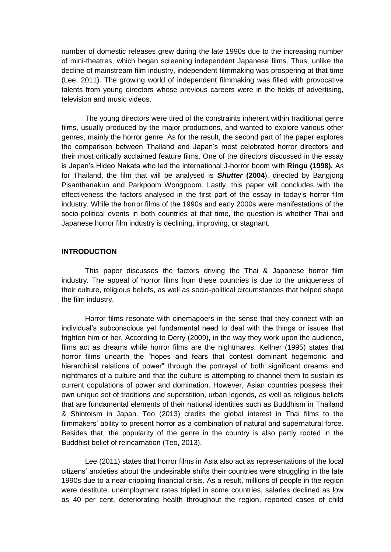number of domestic releases grew during the late 1990s due to the increasing number of mini-theatres, which began screening independent Japanese films. Thus, unlike the decline of mainstream film industry, independent filmmaking was prospering at that time (Lee, 2011). The growing world of independent filmmaking was filled with provocative talents from young directors whose previous careers were in the fields of advertising, television and music videos.

The young directors were tired of the constraints inherent within traditional genre films, usually produced by the major productions, and wanted to explore various other genres, mainly the horror genre. As for the result, the second part of the paper explores the comparison between Thailand and Japan"s most celebrated horror directors and their most critically acclaimed feature films. One of the directors discussed in the essay is Japan"s Hideo Nakata who led the international J-horror boom with **Ringu (1998).** As for Thailand, the film that will be analysed is *Shutter* **(2004**), directed by Bangjong Pisanthanakun and Parkpoom Wongpoom. Lastly, this paper will concludes with the effectiveness the factors analysed in the first part of the essay in today"s horror film industry. While the horror films of the 1990s and early 2000s were manifestations of the socio-political events in both countries at that time, the question is whether Thai and Japanese horror film industry is declining, improving, or stagnant.

# **INTRODUCTION**

This paper discusses the factors driving the Thai & Japanese horror film industry. The appeal of horror films from these countries is due to the uniqueness of their culture, religious beliefs, as well as socio-political circumstances that helped shape the film industry.

Horror films resonate with cinemagoers in the sense that they connect with an individual"s subconscious yet fundamental need to deal with the things or issues that frighten him or her. According to Derry (2009), in the way they work upon the audience, films act as dreams while horror films are the nightmares. Kellner (1995) states that horror films unearth the "hopes and fears that contest dominant hegemonic and hierarchical relations of power" through the portrayal of both significant dreams and nightmares of a culture and that the culture is attempting to channel them to sustain its current copulations of power and domination. However, Asian countries possess their own unique set of traditions and superstition, urban legends, as well as religious beliefs that are fundamental elements of their national identities such as Buddhism in Thailand & Shintoism in Japan. Teo (2013) credits the global interest in Thai films to the filmmakers" ability to present horror as a combination of natural and supernatural force. Besides that, the popularity of the genre in the country is also partly rooted in the Buddhist belief of reincarnation (Teo, 2013).

Lee (2011) states that horror films in Asia also act as representations of the local citizens" anxieties about the undesirable shifts their countries were struggling in the late 1990s due to a near-crippling financial crisis. As a result, millions of people in the region were destitute, unemployment rates tripled in some countries, salaries declined as low as 40 per cent, deteriorating health throughout the region, reported cases of child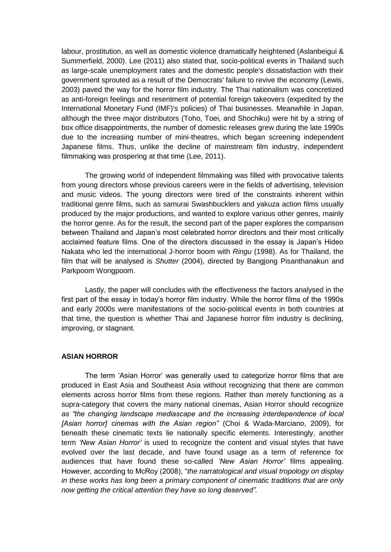labour, prostitution, as well as domestic violence dramatically heightened (Aslanbeigui & Summerfield, 2000). Lee (2011) also stated that, socio-political events in Thailand such as large-scale unemployment rates and the domestic people's dissatisfaction with their government sprouted as a result of the Democrats' failure to revive the economy (Lewis, 2003) paved the way for the horror film industry. The Thai nationalism was concretized as anti-foreign feelings and resentment of potential foreign takeovers (expedited by the International Monetary Fund (IMF)'s policies) of Thai businesses. Meanwhile in Japan, although the three major distributors (Toho, Toei, and Shochiku) were hit by a string of box office disappointments, the number of domestic releases grew during the late 1990s due to the increasing number of mini-theatres, which began screening independent Japanese films. Thus, unlike the decline of mainstream film industry, independent filmmaking was prospering at that time (Lee, 2011).

The growing world of independent filmmaking was filled with provocative talents from young directors whose previous careers were in the fields of advertising, television and music videos. The young directors were tired of the constraints inherent within traditional genre films, such as samurai Swashbucklers and yakuza action films usually produced by the major productions, and wanted to explore various other genres, mainly the horror genre. As for the result, the second part of the paper explores the comparison between Thailand and Japan"s most celebrated horror directors and their most critically acclaimed feature films. One of the directors discussed in the essay is Japan"s Hideo Nakata who led the international J-horror boom with *Ringu* (1998). As for Thailand, the film that will be analysed is *Shutter* (2004), directed by Bangjong Pisanthanakun and Parkpoom Wongpoom.

Lastly, the paper will concludes with the effectiveness the factors analysed in the first part of the essay in today"s horror film industry. While the horror films of the 1990s and early 2000s were manifestations of the socio-political events in both countries at that time, the question is whether Thai and Japanese horror film industry is declining, improving, or stagnant.

## **ASIAN HORROR**

The term "Asian Horror" was generally used to categorize horror films that are produced in East Asia and Southeast Asia without recognizing that there are common elements across horror films from these regions. Rather than merely functioning as a supra-category that covers the many national cinemas, Asian Horror should recognize *as "the changing landscape mediascape and the increasing interdependence of local [Asian horror] cinemas with the Asian region"* (Choi & Wada-Marciano, 2009), for beneath these cinematic texts lie nationally specific elements. Interestingly, another term *"New Asian Horror"* is used to recognize the content and visual styles that have evolved over the last decade, and have found usage as a term of reference for audiences that have found these so-called *"New Asian Horror"* films appealing. However, according to McRoy (2008), "*the narratological and visual tropology on display in these works has long been a primary component of cinematic traditions that are only now getting the critical attention they have so long deserved".*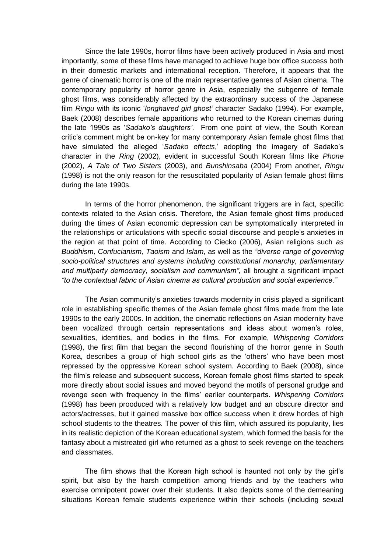Since the late 1990s, horror films have been actively produced in Asia and most importantly, some of these films have managed to achieve huge box office success both in their domestic markets and international reception. Therefore, it appears that the genre of cinematic horror is one of the main representative genres of Asian cinema. The contemporary popularity of horror genre in Asia, especially the subgenre of female ghost films, was considerably affected by the extraordinary success of the Japanese film *Ringu* with its iconic "*longhaired girl ghost"* character Sadako (1994). For example, Baek (2008) describes female apparitions who returned to the Korean cinemas during the late 1990s as "*Sadako"s daughters"*. From one point of view, the South Korean critic"s comment might be on-key for many contemporary Asian female ghost films that have simulated the alleged "*Sadako effects*," adopting the imagery of Sadako"s character in the *Ring* (2002), evident in successful South Korean films like *Phone* (2002), *A Tale of Two Sisters* (2003), and *Bunshinsaba* (2004) From another, *Ringu*  (1998) is not the only reason for the resuscitated popularity of Asian female ghost films during the late 1990s.

In terms of the horror phenomenon, the significant triggers are in fact, specific contexts related to the Asian crisis. Therefore, the Asian female ghost films produced during the times of Asian economic depression can be symptomatically interpreted in the relationships or articulations with specific social discourse and people"s anxieties in the region at that point of time. According to Ciecko (2006), Asian religions such *as Buddhism, Confucianism, Taoism* and *Islam*, as well as the *"diverse range of governing socio-political structures and systems including constitutional monarchy, parliamentary and multiparty democracy, socialism and communism",* all brought a significant impact *"to the contextual fabric of Asian cinema as cultural production and social experience."* 

The Asian community"s anxieties towards modernity in crisis played a significant role in establishing specific themes of the Asian female ghost films made from the late 1990s to the early 2000s. In addition, the cinematic reflections on Asian modernity have been vocalized through certain representations and ideas about women's roles, sexualities, identities, and bodies in the films. For example, *Whispering Corridors* (1998), the first film that began the second flourishing of the horror genre in South Korea, describes a group of high school girls as the "others" who have been most repressed by the oppressive Korean school system. According to Baek (2008), since the film"s release and subsequent success, Korean female ghost films started to speak more directly about social issues and moved beyond the motifs of personal grudge and revenge seen with frequency in the films" earlier counterparts. *Whispering Corridors* (1998) has been prooduced with a relatively low budget and an obscure director and actors/actresses, but it gained massive box office success when it drew hordes of high school students to the theatres. The power of this film, which assured its popularity, lies in its realistic depiction of the Korean educational system, which formed the basis for the fantasy about a mistreated girl who returned as a ghost to seek revenge on the teachers and classmates.

The film shows that the Korean high school is haunted not only by the girl"s spirit, but also by the harsh competition among friends and by the teachers who exercise omnipotent power over their students. It also depicts some of the demeaning situations Korean female students experience within their schools (including sexual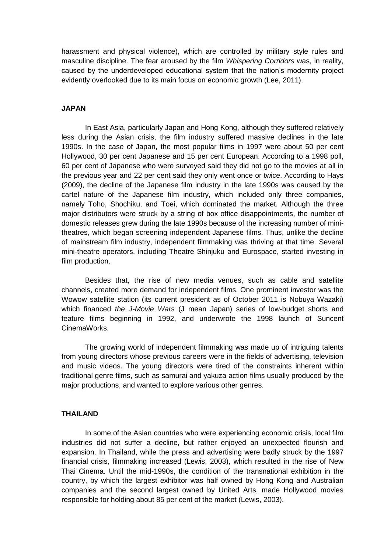harassment and physical violence), which are controlled by military style rules and masculine discipline. The fear aroused by the film *Whispering Corridors* was, in reality, caused by the underdeveloped educational system that the nation"s modernity project evidently overlooked due to its main focus on economic growth (Lee, 2011).

#### **JAPAN**

In East Asia, particularly Japan and Hong Kong, although they suffered relatively less during the Asian crisis, the film industry suffered massive declines in the late 1990s. In the case of Japan, the most popular films in 1997 were about 50 per cent Hollywood, 30 per cent Japanese and 15 per cent European. According to a 1998 poll, 60 per cent of Japanese who were surveyed said they did not go to the movies at all in the previous year and 22 per cent said they only went once or twice. According to Hays (2009), the decline of the Japanese film industry in the late 1990s was caused by the cartel nature of the Japanese film industry, which included only three companies, namely Toho, Shochiku, and Toei, which dominated the market. Although the three major distributors were struck by a string of box office disappointments, the number of domestic releases grew during the late 1990s because of the increasing number of minitheatres, which began screening independent Japanese films. Thus, unlike the decline of mainstream film industry, independent filmmaking was thriving at that time. Several mini-theatre operators, including Theatre Shinjuku and Eurospace, started investing in film production.

Besides that, the rise of new media venues, such as cable and satellite channels, created more demand for independent films. One prominent investor was the Wowow satellite station (its current president as of October 2011 is Nobuya Wazaki) which financed *the J-Movie Wars* (J mean Japan) series of low-budget shorts and feature films beginning in 1992, and underwrote the 1998 launch of Suncent CinemaWorks.

The growing world of independent filmmaking was made up of intriguing talents from young directors whose previous careers were in the fields of advertising, television and music videos. The young directors were tired of the constraints inherent within traditional genre films, such as samurai and yakuza action films usually produced by the major productions, and wanted to explore various other genres.

#### **THAILAND**

In some of the Asian countries who were experiencing economic crisis, local film industries did not suffer a decline, but rather enjoyed an unexpected flourish and expansion. In Thailand, while the press and advertising were badly struck by the 1997 financial crisis, filmmaking increased (Lewis, 2003), which resulted in the rise of New Thai Cinema. Until the mid-1990s, the condition of the transnational exhibition in the country, by which the largest exhibitor was half owned by Hong Kong and Australian companies and the second largest owned by United Arts, made Hollywood movies responsible for holding about 85 per cent of the market (Lewis, 2003).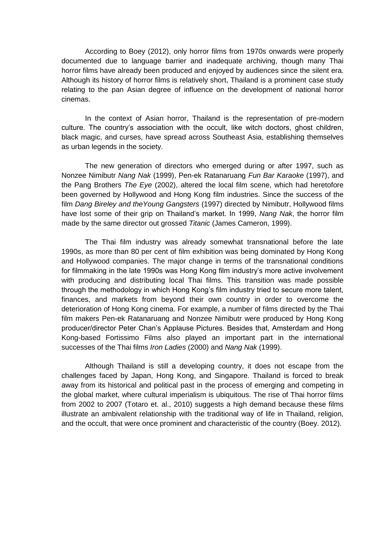According to Boey (2012), only horror films from 1970s onwards were properly documented due to language barrier and inadequate archiving, though many Thai horror films have already been produced and enjoyed by audiences since the silent era. Although its history of horror films is relatively short, Thailand is a prominent case study relating to the pan Asian degree of influence on the development of national horror cinemas.

In the context of Asian horror, Thailand is the representation of pre-modern culture. The country"s association with the occult, like witch doctors, ghost children, black magic, and curses, have spread across Southeast Asia, establishing themselves as urban legends in the society.

The new generation of directors who emerged during or after 1997, such as Nonzee Nimibutr *Nang Nak* (1999), Pen-ek Ratanaruang *Fun Bar Karaoke* (1997), and the Pang Brothers *The Eye* (2002), altered the local film scene, which had heretofore been governed by Hollywood and Hong Kong film industries. Since the success of the film *Dang Bireley and theYoung Gangsters* (1997) directed by Nimibutr, Hollywood films have lost some of their grip on Thailand"s market. In 1999, *Nang Nak*, the horror film made by the same director out grossed *Titanic* (James Cameron, 1999).

The Thai film industry was already somewhat transnational before the late 1990s, as more than 80 per cent of film exhibition was being dominated by Hong Kong and Hollywood companies. The major change in terms of the transnational conditions for filmmaking in the late 1990s was Hong Kong film industry"s more active involvement with producing and distributing local Thai films. This transition was made possible through the methodology in which Hong Kong"s film industry tried to secure more talent, finances, and markets from beyond their own country in order to overcome the deterioration of Hong Kong cinema. For example, a number of films directed by the Thai film makers Pen-ek Ratanaruang and Nonzee Nimibutr were produced by Hong Kong producer/director Peter Chan"s Applause Pictures. Besides that, Amsterdam and Hong Kong-based Fortissimo Films also played an important part in the international successes of the Thai films *Iron Ladies* (2000) and *Nang Nak* (1999).

Although Thailand is still a developing country, it does not escape from the challenges faced by Japan, Hong Kong, and Singapore. Thailand is forced to break away from its historical and political past in the process of emerging and competing in the global market, where cultural imperialism is ubiquitous. The rise of Thai horror films from 2002 to 2007 (Totaro et. al., 2010) suggests a high demand because these films illustrate an ambivalent relationship with the traditional way of life in Thailand, religion, and the occult, that were once prominent and characteristic of the country (Boey. 2012).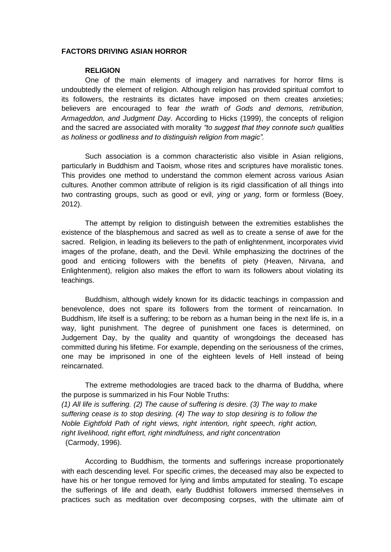#### **FACTORS DRIVING ASIAN HORROR**

#### **RELIGION**

One of the main elements of imagery and narratives for horror films is undoubtedly the element of religion. Although religion has provided spiritual comfort to its followers, the restraints its dictates have imposed on them creates anxieties; believers are encouraged to fear *the wrath of Gods and demons, retribution, Armageddon, and Judgment Day*. According to Hicks (1999), the concepts of religion and the sacred are associated with morality *"to suggest that they connote such qualities as holiness or godliness and to distinguish religion from magic".*

Such association is a common characteristic also visible in Asian religions, particularly in Buddhism and Taoism, whose rites and scriptures have moralistic tones. This provides one method to understand the common element across various Asian cultures. Another common attribute of religion is its rigid classification of all things into two contrasting groups, such as good or evil, *ying* or *yang*, form or formless (Boey, 2012).

The attempt by religion to distinguish between the extremities establishes the existence of the blasphemous and sacred as well as to create a sense of awe for the sacred. Religion, in leading its believers to the path of enlightenment, incorporates vivid images of the profane, death, and the Devil. While emphasizing the doctrines of the good and enticing followers with the benefits of piety (Heaven, Nirvana, and Enlightenment), religion also makes the effort to warn its followers about violating its teachings.

Buddhism, although widely known for its didactic teachings in compassion and benevolence, does not spare its followers from the torment of reincarnation. In Buddhism, life itself is a suffering; to be reborn as a human being in the next life is, in a way, light punishment. The degree of punishment one faces is determined, on Judgement Day, by the quality and quantity of wrongdoings the deceased has committed during his lifetime. For example, depending on the seriousness of the crimes, one may be imprisoned in one of the eighteen levels of Hell instead of being reincarnated.

The extreme methodologies are traced back to the dharma of Buddha, where the purpose is summarized in his Four Noble Truths: *(1) All life is suffering. (2) The cause of suffering is desire. (3) The way to make suffering cease is to stop desiring. (4) The way to stop desiring is to follow the Noble Eightfold Path of right views, right intention, right speech, right action, right livelihood, right effort, right mindfulness, and right concentration* (Carmody, 1996).

According to Buddhism, the torments and sufferings increase proportionately with each descending level. For specific crimes, the deceased may also be expected to have his or her tongue removed for lying and limbs amputated for stealing. To escape the sufferings of life and death, early Buddhist followers immersed themselves in practices such as meditation over decomposing corpses, with the ultimate aim of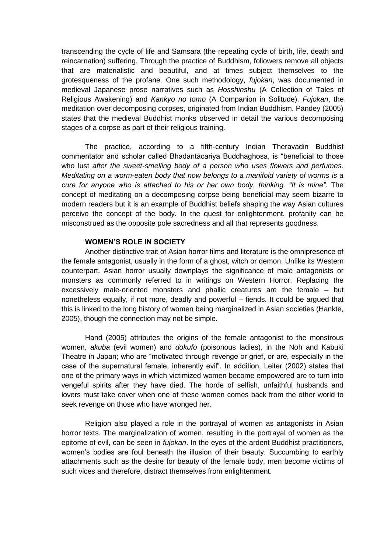transcending the cycle of life and Samsara (the repeating cycle of birth, life, death and reincarnation) suffering. Through the practice of Buddhism, followers remove all objects that are materialistic and beautiful, and at times subject themselves to the grotesqueness of the profane. One such methodology, *fujokan*, was documented in medieval Japanese prose narratives such as *Hosshinshu* (A Collection of Tales of Religious Awakening) and *Kankyo no tomo* (A Companion in Solitude). *Fujokan*, the meditation over decomposing corpses, originated from Indian Buddhism. Pandey (2005) states that the medieval Buddhist monks observed in detail the various decomposing stages of a corpse as part of their religious training.

The practice, according to a fifth-century Indian Theravadin Buddhist commentator and scholar called Bhadantācariya Buddhaghosa, is "beneficial to those who lust *after the sweet-smelling body of a person who uses flowers and perfumes. Meditating on a worm-eaten body that now belongs to a manifold variety of worms is a cure for anyone who is attached to his or her own body, thinking. "It is mine"*. The concept of meditating on a decomposing corpse being beneficial may seem bizarre to modern readers but it is an example of Buddhist beliefs shaping the way Asian cultures perceive the concept of the body. In the quest for enlightenment, profanity can be misconstrued as the opposite pole sacredness and all that represents goodness.

## **WOMEN'S ROLE IN SOCIETY**

Another distinctive trait of Asian horror films and literature is the omnipresence of the female antagonist, usually in the form of a ghost, witch or demon. Unlike its Western counterpart, Asian horror usually downplays the significance of male antagonists or monsters as commonly referred to in writings on Western Horror. Replacing the excessively male-oriented monsters and phallic creatures are the female – but nonetheless equally, if not more, deadly and powerful – fiends. It could be argued that this is linked to the long history of women being marginalized in Asian societies (Hankte, 2005), though the connection may not be simple.

Hand (2005) attributes the origins of the female antagonist to the monstrous women, *akuba* (evil women) and *dokufo* (poisonous ladies), in the Noh and Kabuki Theatre in Japan; who are "motivated through revenge or grief, or are, especially in the case of the supernatural female, inherently evil". In addition, Leiter (2002) states that one of the primary ways in which victimized women become empowered are to turn into vengeful spirits after they have died. The horde of selfish, unfaithful husbands and lovers must take cover when one of these women comes back from the other world to seek revenge on those who have wronged her.

Religion also played a role in the portrayal of women as antagonists in Asian horror texts. The marginalization of women, resulting in the portrayal of women as the epitome of evil, can be seen in *fujokan*. In the eyes of the ardent Buddhist practitioners, women"s bodies are foul beneath the illusion of their beauty. Succumbing to earthly attachments such as the desire for beauty of the female body, men become victims of such vices and therefore, distract themselves from enlightenment.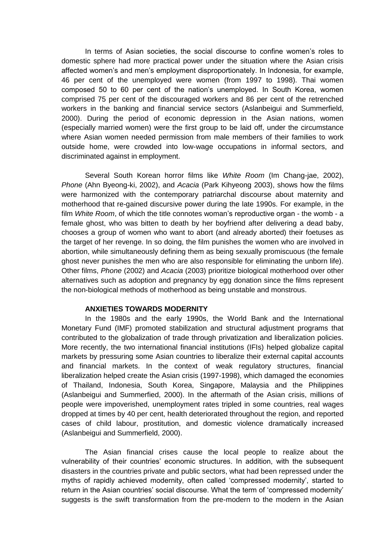In terms of Asian societies, the social discourse to confine women"s roles to domestic sphere had more practical power under the situation where the Asian crisis affected women"s and men"s employment disproportionately. In Indonesia, for example, 46 per cent of the unemployed were women (from 1997 to 1998). Thai women composed 50 to 60 per cent of the nation"s unemployed. In South Korea, women comprised 75 per cent of the discouraged workers and 86 per cent of the retrenched workers in the banking and financial service sectors (Aslanbeigui and Summerfield, 2000). During the period of economic depression in the Asian nations, women (especially married women) were the first group to be laid off, under the circumstance where Asian women needed permission from male members of their families to work outside home, were crowded into low-wage occupations in informal sectors, and discriminated against in employment.

Several South Korean horror films like *White Room* (Im Chang-jae, 2002), *Phone* (Ahn Byeong-ki, 2002), and *Acacia* (Park Kihyeong 2003), shows how the films were harmonized with the contemporary patriarchal discourse about maternity and motherhood that re-gained discursive power during the late 1990s. For example, in the film *White Room*, of which the title connotes woman's reproductive organ - the womb - a female ghost, who was bitten to death by her boyfriend after delivering a dead baby, chooses a group of women who want to abort (and already aborted) their foetuses as the target of her revenge. In so doing, the film punishes the women who are involved in abortion, while simultaneously defining them as being sexually promiscuous (the female ghost never punishes the men who are also responsible for eliminating the unborn life). Other films, *Phone* (2002) and *Acacia* (2003) prioritize biological motherhood over other alternatives such as adoption and pregnancy by egg donation since the films represent the non-biological methods of motherhood as being unstable and monstrous.

#### **ANXIETIES TOWARDS MODERNITY**

In the 1980s and the early 1990s, the World Bank and the International Monetary Fund (IMF) promoted stabilization and structural adjustment programs that contributed to the globalization of trade through privatization and liberalization policies. More recently, the two international financial institutions (IFIs) helped globalize capital markets by pressuring some Asian countries to liberalize their external capital accounts and financial markets. In the context of weak regulatory structures, financial liberalization helped create the Asian crisis (1997-1998), which damaged the economies of Thailand, Indonesia, South Korea, Singapore, Malaysia and the Philippines (Aslanbeigui and Summerfied, 2000). In the aftermath of the Asian crisis, millions of people were impoverished, unemployment rates tripled in some countries, real wages dropped at times by 40 per cent, health deteriorated throughout the region, and reported cases of child labour, prostitution, and domestic violence dramatically increased (Aslanbeigui and Summerfield, 2000).

The Asian financial crises cause the local people to realize about the vulnerability of their countries" economic structures. In addition, with the subsequent disasters in the countries private and public sectors, what had been repressed under the myths of rapidly achieved modernity, often called "compressed modernity", started to return in the Asian countries" social discourse. What the term of "compressed modernity" suggests is the swift transformation from the pre-modern to the modern in the Asian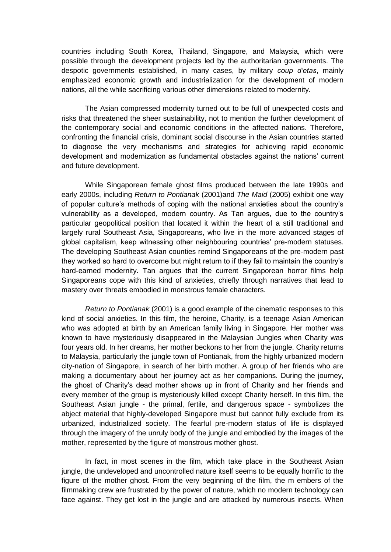countries including South Korea, Thailand, Singapore, and Malaysia, which were possible through the development projects led by the authoritarian governments. The despotic governments established, in many cases, by military *coup d"etas*, mainly emphasized economic growth and industrialization for the development of modern nations, all the while sacrificing various other dimensions related to modernity.

The Asian compressed modernity turned out to be full of unexpected costs and risks that threatened the sheer sustainability, not to mention the further development of the contemporary social and economic conditions in the affected nations. Therefore, confronting the financial crisis, dominant social discourse in the Asian countries started to diagnose the very mechanisms and strategies for achieving rapid economic development and modernization as fundamental obstacles against the nations" current and future development.

While Singaporean female ghost films produced between the late 1990s and early 2000s, including *Return to Pontianak* (2001)and *The Maid* (2005) exhibit one way of popular culture"s methods of coping with the national anxieties about the country"s vulnerability as a developed, modern country. As Tan argues, due to the country"s particular geopolitical position that located it within the heart of a still traditional and largely rural Southeast Asia, Singaporeans, who live in the more advanced stages of global capitalism, keep witnessing other neighbouring countries" pre-modern statuses. The developing Southeast Asian counties remind Singaporeans of the pre-modern past they worked so hard to overcome but might return to if they fail to maintain the country"s hard-earned modernity. Tan argues that the current Singaporean horror films help Singaporeans cope with this kind of anxieties, chiefly through narratives that lead to mastery over threats embodied in monstrous female characters.

*Return to Pontianak* (2001) is a good example of the cinematic responses to this kind of social anxieties. In this film, the heroine, Charity, is a teenage Asian American who was adopted at birth by an American family living in Singapore. Her mother was known to have mysteriously disappeared in the Malaysian Jungles when Charity was four years old. In her dreams, her mother beckons to her from the jungle. Charity returns to Malaysia, particularly the jungle town of Pontianak, from the highly urbanized modern city-nation of Singapore, in search of her birth mother. A group of her friends who are making a documentary about her journey act as her companions. During the journey, the ghost of Charity"s dead mother shows up in front of Charity and her friends and every member of the group is mysteriously killed except Charity herself. In this film, the Southeast Asian jungle - the primal, fertile, and dangerous space - symbolizes the abject material that highly-developed Singapore must but cannot fully exclude from its urbanized, industrialized society. The fearful pre-modern status of life is displayed through the imagery of the unruly body of the jungle and embodied by the images of the mother, represented by the figure of monstrous mother ghost.

In fact, in most scenes in the film, which take place in the Southeast Asian jungle, the undeveloped and uncontrolled nature itself seems to be equally horrific to the figure of the mother ghost. From the very beginning of the film, the m embers of the filmmaking crew are frustrated by the power of nature, which no modern technology can face against. They get lost in the jungle and are attacked by numerous insects. When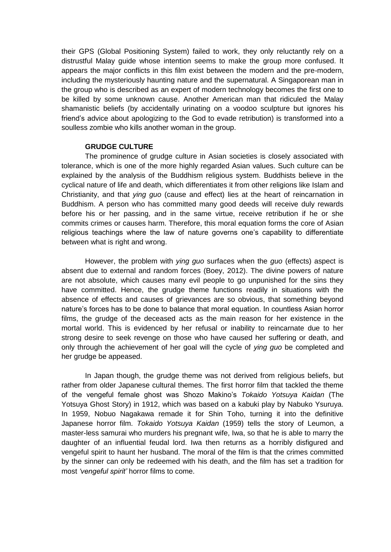their GPS (Global Positioning System) failed to work, they only reluctantly rely on a distrustful Malay guide whose intention seems to make the group more confused. It appears the major conflicts in this film exist between the modern and the pre-modern, including the mysteriously haunting nature and the supernatural. A Singaporean man in the group who is described as an expert of modern technology becomes the first one to be killed by some unknown cause. Another American man that ridiculed the Malay shamanistic beliefs (by accidentally urinating on a voodoo sculpture but ignores his friend"s advice about apologizing to the God to evade retribution) is transformed into a soulless zombie who kills another woman in the group.

## **GRUDGE CULTURE**

The prominence of grudge culture in Asian societies is closely associated with tolerance, which is one of the more highly regarded Asian values. Such culture can be explained by the analysis of the Buddhism religious system. Buddhists believe in the cyclical nature of life and death, which differentiates it from other religions like Islam and Christianity, and that *ying guo* (cause and effect) lies at the heart of reincarnation in Buddhism. A person who has committed many good deeds will receive duly rewards before his or her passing, and in the same virtue, receive retribution if he or she commits crimes or causes harm. Therefore, this moral equation forms the core of Asian religious teachings where the law of nature governs one"s capability to differentiate between what is right and wrong.

However, the problem with *ying guo* surfaces when the *guo* (effects) aspect is absent due to external and random forces (Boey, 2012). The divine powers of nature are not absolute, which causes many evil people to go unpunished for the sins they have committed. Hence, the grudge theme functions readily in situations with the absence of effects and causes of grievances are so obvious, that something beyond nature"s forces has to be done to balance that moral equation. In countless Asian horror films, the grudge of the deceased acts as the main reason for her existence in the mortal world. This is evidenced by her refusal or inability to reincarnate due to her strong desire to seek revenge on those who have caused her suffering or death, and only through the achievement of her goal will the cycle of *ying guo* be completed and her grudge be appeased.

In Japan though, the grudge theme was not derived from religious beliefs, but rather from older Japanese cultural themes. The first horror film that tackled the theme of the vengeful female ghost was Shozo Makino"s *Tokaido Yotsuya Kaidan* (The Yotsuya Ghost Story) in 1912, which was based on a kabuki play by Nabuko Ysuruya. In 1959, Nobuo Nagakawa remade it for Shin Toho, turning it into the definitive Japanese horror film. *Tokaido Yotsuya Kaidan* (1959) tells the story of Leumon, a master-less samurai who murders his pregnant wife, Iwa, so that he is able to marry the daughter of an influential feudal lord. Iwa then returns as a horribly disfigured and vengeful spirit to haunt her husband. The moral of the film is that the crimes committed by the sinner can only be redeemed with his death, and the film has set a tradition for most *"vengeful spirit"* horror films to come.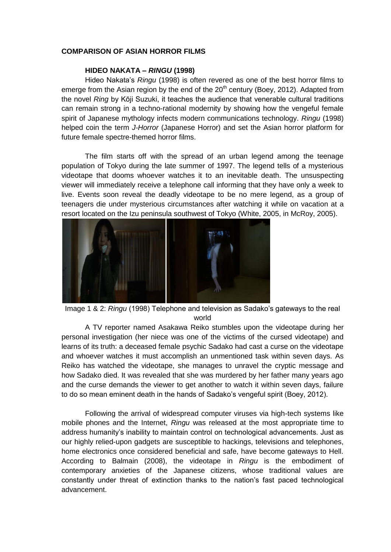## **COMPARISON OF ASIAN HORROR FILMS**

## **HIDEO NAKATA –** *RINGU* **(1998)**

Hideo Nakata"s *Ringu* (1998) is often revered as one of the best horror films to emerge from the Asian region by the end of the  $20<sup>th</sup>$  century (Boey, 2012). Adapted from the novel *Ring* by Kōji Suzuki, it teaches the audience that venerable cultural traditions can remain strong in a techno-rational modernity by showing how the vengeful female spirit of Japanese mythology infects modern communications technology. *Ringu* (1998) helped coin the term *J-Horror* (Japanese Horror) and set the Asian horror platform for future female spectre-themed horror films.

The film starts off with the spread of an urban legend among the teenage population of Tokyo during the late summer of 1997. The legend tells of a mysterious videotape that dooms whoever watches it to an inevitable death. The unsuspecting viewer will immediately receive a telephone call informing that they have only a week to live. Events soon reveal the deadly videotape to be no mere legend, as a group of teenagers die under mysterious circumstances after watching it while on vacation at a resort located on the Izu peninsula southwest of Tokyo (White, 2005, in McRoy, 2005).



Image 1 & 2: *Ringu* (1998) Telephone and television as Sadako"s gateways to the real world

A TV reporter named Asakawa Reiko stumbles upon the videotape during her personal investigation (her niece was one of the victims of the cursed videotape) and learns of its truth: a deceased female psychic Sadako had cast a curse on the videotape and whoever watches it must accomplish an unmentioned task within seven days. As Reiko has watched the videotape, she manages to unravel the cryptic message and how Sadako died. It was revealed that she was murdered by her father many years ago and the curse demands the viewer to get another to watch it within seven days, failure to do so mean eminent death in the hands of Sadako"s vengeful spirit (Boey, 2012).

Following the arrival of widespread computer viruses via high-tech systems like mobile phones and the Internet, *Ringu* was released at the most appropriate time to address humanity"s inability to maintain control on technological advancements. Just as our highly relied-upon gadgets are susceptible to hackings, televisions and telephones, home electronics once considered beneficial and safe, have become gateways to Hell. According to Balmain (2008), the videotape in *Ringu* is the embodiment of contemporary anxieties of the Japanese citizens, whose traditional values are constantly under threat of extinction thanks to the nation"s fast paced technological advancement.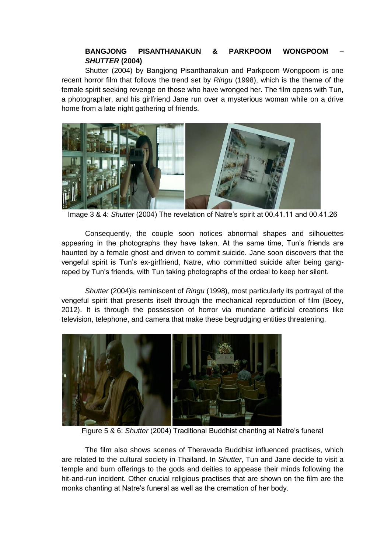# **BANGJONG PISANTHANAKUN & PARKPOOM WONGPOOM –** *SHUTTER* **(2004)**

Shutter (2004) by Bangjong Pisanthanakun and Parkpoom Wongpoom is one recent horror film that follows the trend set by *Ringu* (1998), which is the theme of the female spirit seeking revenge on those who have wronged her. The film opens with Tun, a photographer, and his girlfriend Jane run over a mysterious woman while on a drive home from a late night gathering of friends.



Image 3 & 4: *Shutter* (2004) The revelation of Natre"s spirit at 00.41.11 and 00.41.26

Consequently, the couple soon notices abnormal shapes and silhouettes appearing in the photographs they have taken. At the same time, Tun"s friends are haunted by a female ghost and driven to commit suicide. Jane soon discovers that the vengeful spirit is Tun"s ex-girlfriend, Natre, who committed suicide after being gangraped by Tun"s friends, with Tun taking photographs of the ordeal to keep her silent.

*Shutter* (2004)is reminiscent of *Ringu* (1998), most particularly its portrayal of the vengeful spirit that presents itself through the mechanical reproduction of film (Boey, 2012). It is through the possession of horror via mundane artificial creations like television, telephone, and camera that make these begrudging entities threatening.



Figure 5 & 6: *Shutter* (2004) Traditional Buddhist chanting at Natre's funeral

The film also shows scenes of Theravada Buddhist influenced practises, which are related to the cultural society in Thailand. In *Shutter*, Tun and Jane decide to visit a temple and burn offerings to the gods and deities to appease their minds following the hit-and-run incident. Other crucial religious practises that are shown on the film are the monks chanting at Natre's funeral as well as the cremation of her body.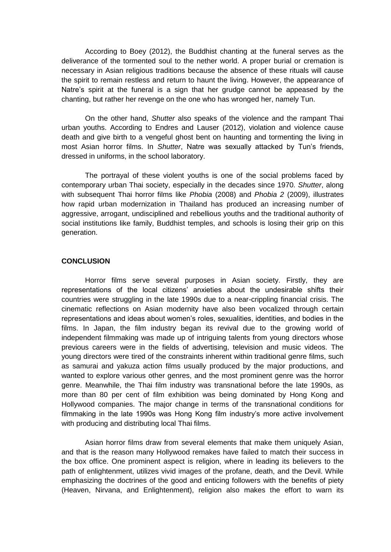According to Boey (2012), the Buddhist chanting at the funeral serves as the deliverance of the tormented soul to the nether world. A proper burial or cremation is necessary in Asian religious traditions because the absence of these rituals will cause the spirit to remain restless and return to haunt the living. However, the appearance of Natre's spirit at the funeral is a sign that her grudge cannot be appeased by the chanting, but rather her revenge on the one who has wronged her, namely Tun.

On the other hand, *Shutter* also speaks of the violence and the rampant Thai urban youths. According to Endres and Lauser (2012), violation and violence cause death and give birth to a vengeful ghost bent on haunting and tormenting the living in most Asian horror films. In *Shutter*, Natre was sexually attacked by Tun"s friends, dressed in uniforms, in the school laboratory.

The portrayal of these violent youths is one of the social problems faced by contemporary urban Thai society, especially in the decades since 1970. *Shutter*, along with subsequent Thai horror films like *Phobia* (2008) and *Phobia 2* (2009), illustrates how rapid urban modernization in Thailand has produced an increasing number of aggressive, arrogant, undisciplined and rebellious youths and the traditional authority of social institutions like family, Buddhist temples, and schools is losing their grip on this generation.

#### **CONCLUSION**

Horror films serve several purposes in Asian society. Firstly, they are representations of the local citizens" anxieties about the undesirable shifts their countries were struggling in the late 1990s due to a near-crippling financial crisis. The cinematic reflections on Asian modernity have also been vocalized through certain representations and ideas about women"s roles, sexualities, identities, and bodies in the films. In Japan, the film industry began its revival due to the growing world of independent filmmaking was made up of intriguing talents from young directors whose previous careers were in the fields of advertising, television and music videos. The young directors were tired of the constraints inherent within traditional genre films, such as samurai and yakuza action films usually produced by the major productions, and wanted to explore various other genres, and the most prominent genre was the horror genre. Meanwhile, the Thai film industry was transnational before the late 1990s, as more than 80 per cent of film exhibition was being dominated by Hong Kong and Hollywood companies. The major change in terms of the transnational conditions for filmmaking in the late 1990s was Hong Kong film industry"s more active involvement with producing and distributing local Thai films.

Asian horror films draw from several elements that make them uniquely Asian, and that is the reason many Hollywood remakes have failed to match their success in the box office. One prominent aspect is religion, where in leading its believers to the path of enlightenment, utilizes vivid images of the profane, death, and the Devil. While emphasizing the doctrines of the good and enticing followers with the benefits of piety (Heaven, Nirvana, and Enlightenment), religion also makes the effort to warn its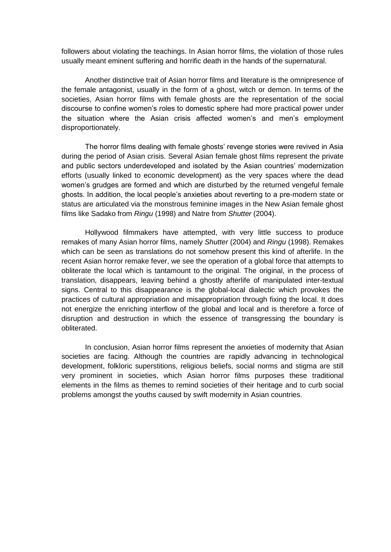followers about violating the teachings. In Asian horror films, the violation of those rules usually meant eminent suffering and horrific death in the hands of the supernatural.

Another distinctive trait of Asian horror films and literature is the omnipresence of the female antagonist, usually in the form of a ghost, witch or demon. In terms of the societies, Asian horror films with female ghosts are the representation of the social discourse to confine women"s roles to domestic sphere had more practical power under the situation where the Asian crisis affected women"s and men"s employment disproportionately.

The horror films dealing with female ghosts" revenge stories were revived in Asia during the period of Asian crisis. Several Asian female ghost films represent the private and public sectors underdeveloped and isolated by the Asian countries' modernization efforts (usually linked to economic development) as the very spaces where the dead women"s grudges are formed and which are disturbed by the returned vengeful female ghosts. In addition, the local people"s anxieties about reverting to a pre-modern state or status are articulated via the monstrous feminine images in the New Asian female ghost films like Sadako from *Ringu* (1998) and Natre from *Shutter* (2004).

Hollywood filmmakers have attempted, with very little success to produce remakes of many Asian horror films, namely *Shutter* (2004) and *Ringu* (1998). Remakes which can be seen as translations do not somehow present this kind of afterlife. In the recent Asian horror remake fever, we see the operation of a global force that attempts to obliterate the local which is tantamount to the original. The original, in the process of translation, disappears, leaving behind a ghostly afterlife of manipulated inter-textual signs. Central to this disappearance is the global-local dialectic which provokes the practices of cultural appropriation and misappropriation through fixing the local. It does not energize the enriching interflow of the global and local and is therefore a force of disruption and destruction in which the essence of transgressing the boundary is obliterated.

In conclusion, Asian horror films represent the anxieties of modernity that Asian societies are facing. Although the countries are rapidly advancing in technological development, folkloric superstitions, religious beliefs, social norms and stigma are still very prominent in societies, which Asian horror films purposes these traditional elements in the films as themes to remind societies of their heritage and to curb social problems amongst the youths caused by swift modernity in Asian countries.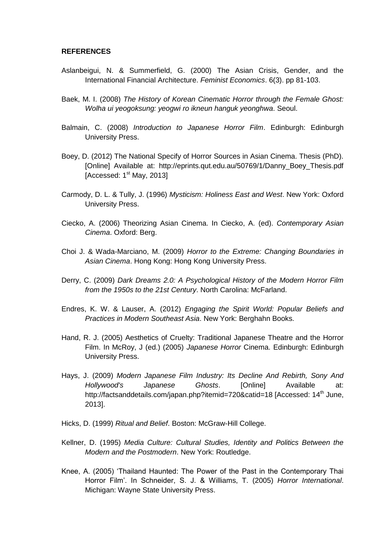#### **REFERENCES**

- Aslanbeigui, N. & Summerfield, G. (2000) The Asian Crisis, Gender, and the International Financial Architecture. *Feminist Economics*. 6(3). pp 81-103.
- Baek, M. I. (2008) *The History of Korean Cinematic Horror through the Female Ghost: Wolha ui yeogoksung: yeogwi ro ikneun hanguk yeonghwa*. Seoul.
- Balmain, C. (2008) *Introduction to Japanese Horror Film*. Edinburgh: Edinburgh University Press.
- Boey, D. (2012) The National Specify of Horror Sources in Asian Cinema. Thesis (PhD). [Online] Available at: http://eprints.qut.edu.au/50769/1/Danny\_Boey\_Thesis.pdf [Accessed:  $1<sup>st</sup>$  May, 2013]
- Carmody, D. L. & Tully, J. (1996) *Mysticism: Holiness East and West*. New York: Oxford University Press.
- Ciecko, A. (2006) Theorizing Asian Cinema. In Ciecko, A. (ed). *Contemporary Asian Cinema*. Oxford: Berg.
- Choi J. & Wada-Marciano, M. (2009) *Horror to the Extreme: Changing Boundaries in Asian Cinema*. Hong Kong: Hong Kong University Press.
- Derry, C. (2009) *Dark Dreams 2.0: A Psychological History of the Modern Horror Film from the 1950s to the 21st Century*. North Carolina: McFarland.
- Endres, K. W. & Lauser, A. (2012) *Engaging the Spirit World: Popular Beliefs and Practices in Modern Southeast Asia*. New York: Berghahn Books.
- Hand, R. J. (2005) Aesthetics of Cruelty: Traditional Japanese Theatre and the Horror Film. In McRoy, J (ed.) (2005) *Japanese Horror* Cinema. Edinburgh: Edinburgh University Press.
- Hays, J. (2009) *Modern Japanese Film Industry: Its Decline And Rebirth, Sony And Hollywood's Japanese Ghosts*. [Online] Available at: http://factsanddetails.com/japan.php?itemid=720&catid=18 [Accessed: 14<sup>th</sup> June, 2013].
- Hicks, D. (1999) *Ritual and Belief*. Boston: McGraw-Hill College.
- Kellner, D. (1995) *Media Culture: Cultural Studies, Identity and Politics Between the Modern and the Postmodern*. New York: Routledge.
- Knee, A. (2005) "Thailand Haunted: The Power of the Past in the Contemporary Thai Horror Film". In Schneider, S. J. & Williams, T. (2005) *Horror International*. Michigan: Wayne State University Press.